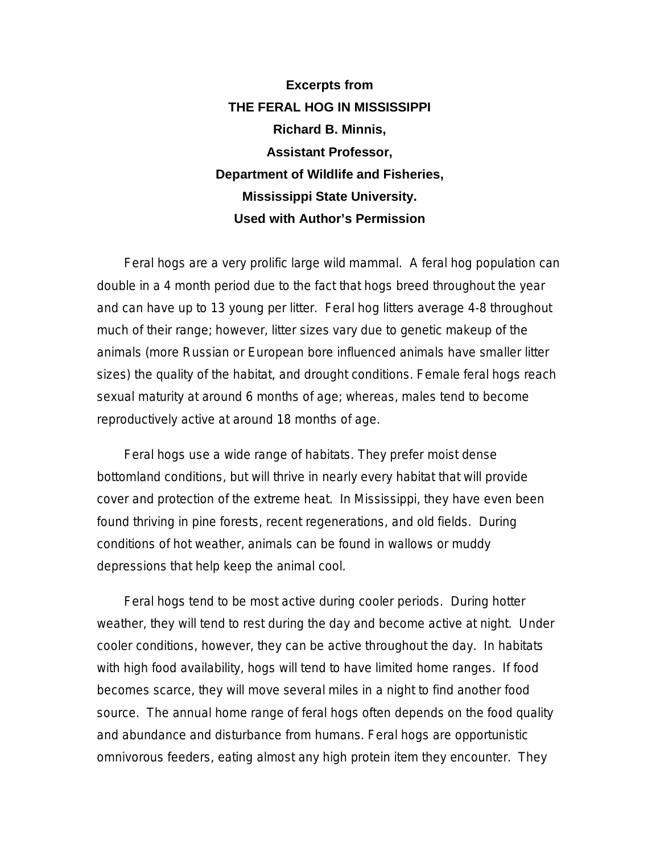**Excerpts from THE FERAL HOG IN MISSISSIPPI Richard B. Minnis, Assistant Professor, Department of Wildlife and Fisheries, Mississippi State University. Used with Author's Permission** 

Feral hogs are a very prolific large wild mammal. A feral hog population can double in a 4 month period due to the fact that hogs breed throughout the year and can have up to 13 young per litter. Feral hog litters average 4-8 throughout much of their range; however, litter sizes vary due to genetic makeup of the animals (more Russian or European bore influenced animals have smaller litter sizes) the quality of the habitat, and drought conditions. Female feral hogs reach sexual maturity at around 6 months of age; whereas, males tend to become reproductively active at around 18 months of age.

Feral hogs use a wide range of habitats. They prefer moist dense bottomland conditions, but will thrive in nearly every habitat that will provide cover and protection of the extreme heat. In Mississippi, they have even been found thriving in pine forests, recent regenerations, and old fields. During conditions of hot weather, animals can be found in wallows or muddy depressions that help keep the animal cool.

Feral hogs tend to be most active during cooler periods. During hotter weather, they will tend to rest during the day and become active at night. Under cooler conditions, however, they can be active throughout the day. In habitats with high food availability, hogs will tend to have limited home ranges. If food becomes scarce, they will move several miles in a night to find another food source. The annual home range of feral hogs often depends on the food quality and abundance and disturbance from humans. Feral hogs are opportunistic omnivorous feeders, eating almost any high protein item they encounter. They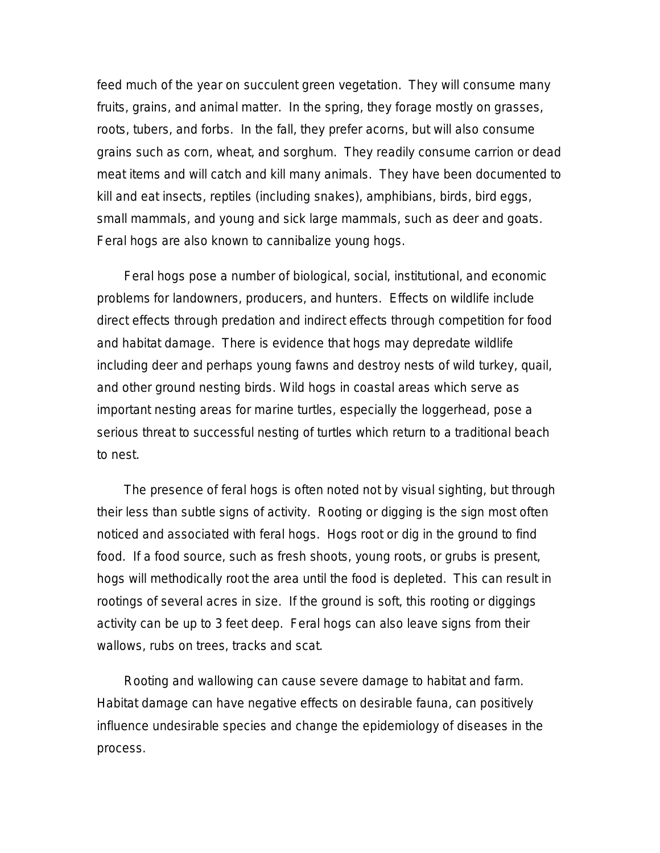feed much of the year on succulent green vegetation. They will consume many fruits, grains, and animal matter. In the spring, they forage mostly on grasses, roots, tubers, and forbs. In the fall, they prefer acorns, but will also consume grains such as corn, wheat, and sorghum. They readily consume carrion or dead meat items and will catch and kill many animals. They have been documented to kill and eat insects, reptiles (including snakes), amphibians, birds, bird eggs, small mammals, and young and sick large mammals, such as deer and goats. Feral hogs are also known to cannibalize young hogs.

Feral hogs pose a number of biological, social, institutional, and economic problems for landowners, producers, and hunters. Effects on wildlife include direct effects through predation and indirect effects through competition for food and habitat damage. There is evidence that hogs may depredate wildlife including deer and perhaps young fawns and destroy nests of wild turkey, quail, and other ground nesting birds. Wild hogs in coastal areas which serve as important nesting areas for marine turtles, especially the loggerhead, pose a serious threat to successful nesting of turtles which return to a traditional beach to nest.

The presence of feral hogs is often noted not by visual sighting, but through their less than subtle signs of activity. Rooting or digging is the sign most often noticed and associated with feral hogs. Hogs root or dig in the ground to find food. If a food source, such as fresh shoots, young roots, or grubs is present, hogs will methodically root the area until the food is depleted. This can result in rootings of several acres in size. If the ground is soft, this rooting or diggings activity can be up to 3 feet deep. Feral hogs can also leave signs from their wallows, rubs on trees, tracks and scat.

Rooting and wallowing can cause severe damage to habitat and farm. Habitat damage can have negative effects on desirable fauna, can positively influence undesirable species and change the epidemiology of diseases in the process.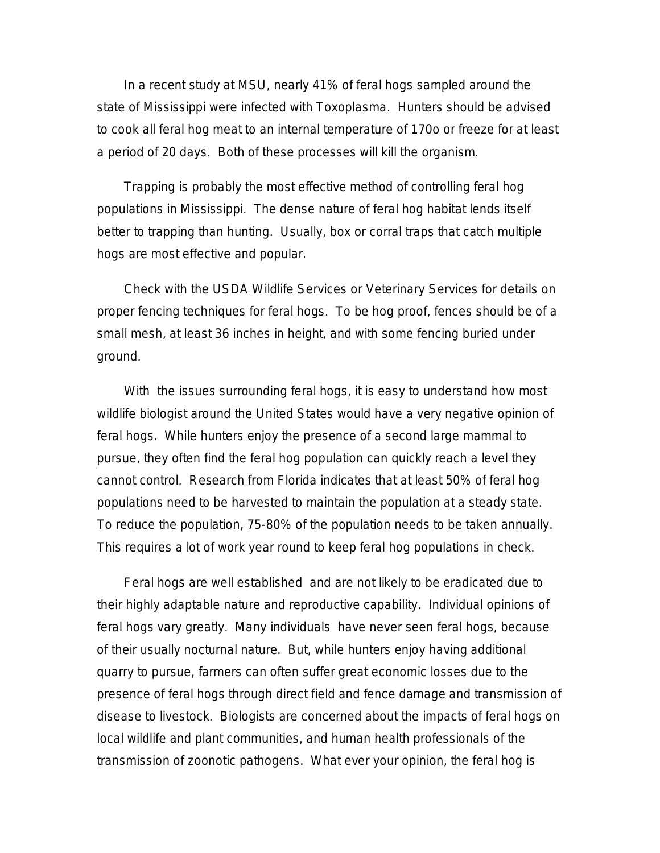In a recent study at MSU, nearly 41% of feral hogs sampled around the state of Mississippi were infected with Toxoplasma. Hunters should be advised to cook all feral hog meat to an internal temperature of 170o or freeze for at least a period of 20 days. Both of these processes will kill the organism.

Trapping is probably the most effective method of controlling feral hog populations in Mississippi. The dense nature of feral hog habitat lends itself better to trapping than hunting. Usually, box or corral traps that catch multiple hogs are most effective and popular.

Check with the USDA Wildlife Services or Veterinary Services for details on proper fencing techniques for feral hogs. To be hog proof, fences should be of a small mesh, at least 36 inches in height, and with some fencing buried under ground.

With the issues surrounding feral hogs, it is easy to understand how most wildlife biologist around the United States would have a very negative opinion of feral hogs. While hunters enjoy the presence of a second large mammal to pursue, they often find the feral hog population can quickly reach a level they cannot control. Research from Florida indicates that at least 50% of feral hog populations need to be harvested to maintain the population at a steady state. To reduce the population, 75-80% of the population needs to be taken annually. This requires a lot of work year round to keep feral hog populations in check.

Feral hogs are well established and are not likely to be eradicated due to their highly adaptable nature and reproductive capability. Individual opinions of feral hogs vary greatly. Many individuals have never seen feral hogs, because of their usually nocturnal nature. But, while hunters enjoy having additional quarry to pursue, farmers can often suffer great economic losses due to the presence of feral hogs through direct field and fence damage and transmission of disease to livestock. Biologists are concerned about the impacts of feral hogs on local wildlife and plant communities, and human health professionals of the transmission of zoonotic pathogens. What ever your opinion, the feral hog is